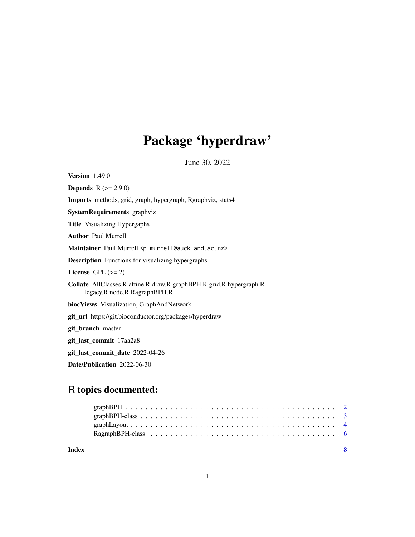# Package 'hyperdraw'

June 30, 2022

<span id="page-0-0"></span>Version 1.49.0 **Depends**  $R (= 2.9.0)$ Imports methods, grid, graph, hypergraph, Rgraphviz, stats4 SystemRequirements graphviz Title Visualizing Hypergaphs Author Paul Murrell Maintainer Paul Murrell <p.murrell@auckland.ac.nz> Description Functions for visualizing hypergraphs. License GPL  $(>= 2)$ Collate AllClasses.R affine.R draw.R graphBPH.R grid.R hypergraph.R legacy.R node.R RagraphBPH.R biocViews Visualization, GraphAndNetwork git\_url https://git.bioconductor.org/packages/hyperdraw git\_branch master git\_last\_commit 17aa2a8 git\_last\_commit\_date 2022-04-26 Date/Publication 2022-06-30

# R topics documented:

**Index** [8](#page-7-0) **8**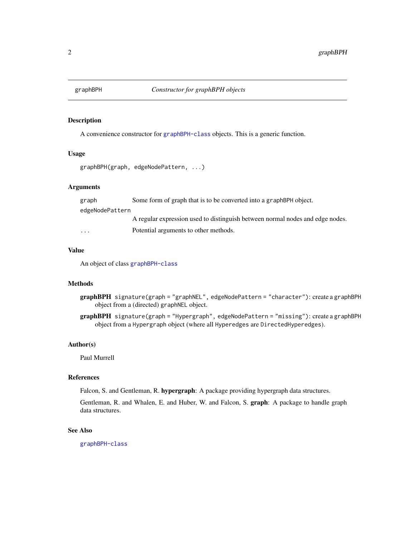<span id="page-1-0"></span>

# Description

A convenience constructor for [graphBPH-class](#page-2-1) objects. This is a generic function.

### Usage

```
graphBPH(graph, edgeNodePattern, ...)
```
#### Arguments

graph Some form of graph that is to be converted into a graphBPH object. edgeNodePattern A regular expression used to distinguish between normal nodes and edge nodes. ... Potential arguments to other methods.

# Value

An object of class [graphBPH-class](#page-2-1)

# Methods

- graphBPH signature(graph = "graphNEL", edgeNodePattern = "character"): create a graphBPH object from a (directed) graphNEL object.
- graphBPH signature(graph = "Hypergraph", edgeNodePattern = "missing"): create a graphBPH object from a Hypergraph object (where all Hyperedges are DirectedHyperedges).

#### Author(s)

Paul Murrell

### References

Falcon, S. and Gentleman, R. hypergraph: A package providing hypergraph data structures.

Gentleman, R. and Whalen, E. and Huber, W. and Falcon, S. graph: A package to handle graph data structures.

# See Also

[graphBPH-class](#page-2-1)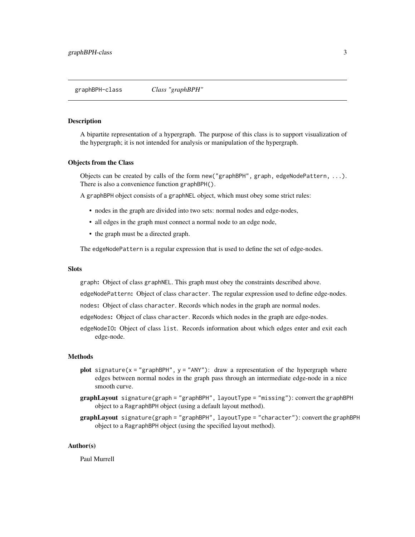<span id="page-2-1"></span><span id="page-2-0"></span>graphBPH-class *Class "graphBPH"*

#### Description

A bipartite representation of a hypergraph. The purpose of this class is to support visualization of the hypergraph; it is not intended for analysis or manipulation of the hypergraph.

#### Objects from the Class

Objects can be created by calls of the form new ("graphBPH", graph, edgeNodePattern,  $\dots$ ). There is also a convenience function graphBPH().

A graphBPH object consists of a graphNEL object, which must obey some strict rules:

- nodes in the graph are divided into two sets: normal nodes and edge-nodes,
- all edges in the graph must connect a normal node to an edge node,
- the graph must be a directed graph.

The edgeNodePattern is a regular expression that is used to define the set of edge-nodes.

### **Slots**

graph: Object of class graphNEL. This graph must obey the constraints described above.

edgeNodePattern: Object of class character. The regular expression used to define edge-nodes.

nodes: Object of class character. Records which nodes in the graph are normal nodes.

- edgeNodes: Object of class character. Records which nodes in the graph are edge-nodes.
- edgeNodeIO: Object of class list. Records information about which edges enter and exit each edge-node.

#### Methods

- plot signature( $x =$ "graphBPH",  $y =$ "ANY"): draw a representation of the hypergraph where edges between normal nodes in the graph pass through an intermediate edge-node in a nice smooth curve.
- graphLayout signature(graph = "graphBPH", layoutType = "missing"): convert the graphBPH object to a RagraphBPH object (using a default layout method).
- graphLayout signature(graph = "graphBPH", layoutType = "character"): convert the graphBPH object to a RagraphBPH object (using the specified layout method).

#### Author(s)

Paul Murrell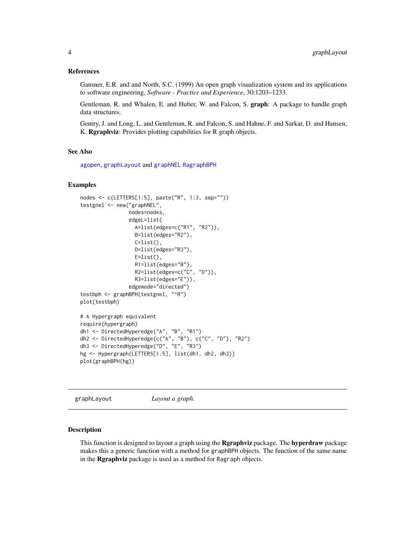#### <span id="page-3-0"></span>References

Gansner, E.R. and and North, S.C. (1999) An open graph visualization system and its applications to software engineering, *Software - Practice and Experience*, 30:1203–1233.

Gentleman, R. and Whalen, E. and Huber, W. and Falcon, S. graph: A package to handle graph data structures.

Gentry, J. and Long, L. and Gentleman, R. and Falcon, S. and Hahne, F. and Sarkar, D. and Hansen, K. Rgraphviz: Provides plotting capabilities for R graph objects.

#### See Also

[agopen](#page-0-0), [graphLayout](#page-3-1) and [graphNEL](#page-0-0) [RagraphBPH](#page-5-1)

#### Examples

```
nodes <- c(LETTERS[1:5], paste("R", 1:3, sep=""))
testgnel <- new("graphNEL",
                nodes=nodes,
                edgeL=list(
                  A=list(edges=c("R1", "R2")),
                  B=list(edges="R2"),
                  C=list(),
                  D=list(edges="R3"),
                  E=list(),
                  R1=list(edges="B"),
                  R2=list(edges=c("C", "D")),
                  R3=list(edges="E")),
                edgemode="directed")
testbph <- graphBPH(testgnel, "^R")
plot(testbph)
# A Hypergraph equivalent
require(hypergraph)
dh1 <- DirectedHyperedge("A", "B", "R1")
dh2 <- DirectedHyperedge(c("A", "B"), c("C", "D"), "R2")
dh3 <- DirectedHyperedge("D", "E", "R3")
hg <- Hypergraph(LETTERS[1:5], list(dh1, dh2, dh3))
plot(graphBPH(hg))
```
<span id="page-3-1"></span>graphLayout *Layout a graph.*

#### **Description**

This function is designed to layout a graph using the **Rgraphviz** package. The **hyperdraw** package makes this a generic function with a method for graphBPH objects. The function of the same name in the Rgraphviz package is used as a method for Ragraph objects.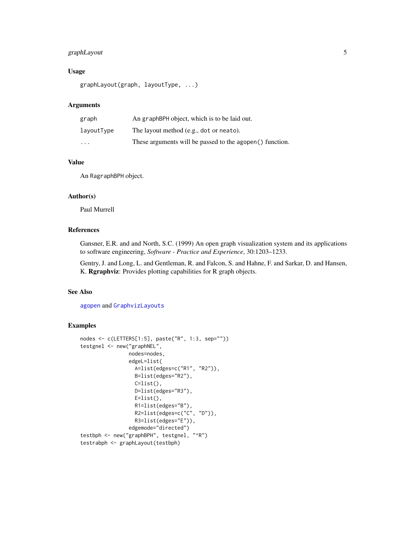# <span id="page-4-0"></span>graphLayout 5

# Usage

```
graphLayout(graph, layoutType, ...)
```
# Arguments

| graph                   | An graphBPH object, which is to be laid out.             |
|-------------------------|----------------------------------------------------------|
| layoutType              | The layout method (e.g., dot or neato).                  |
| $\cdot$ $\cdot$ $\cdot$ | These arguments will be passed to the agopen() function. |

### Value

An RagraphBPH object.

# Author(s)

Paul Murrell

# References

Gansner, E.R. and and North, S.C. (1999) An open graph visualization system and its applications to software engineering, *Software - Practice and Experience*, 30:1203–1233.

Gentry, J. and Long, L. and Gentleman, R. and Falcon, S. and Hahne, F. and Sarkar, D. and Hansen, K. Rgraphviz: Provides plotting capabilities for R graph objects.

# See Also

[agopen](#page-0-0) and [GraphvizLayouts](#page-0-0)

#### Examples

```
nodes <- c(LETTERS[1:5], paste("R", 1:3, sep=""))
testgnel <- new("graphNEL",
               nodes=nodes,
                edgeL=list(
                 A=list(edges=c("R1", "R2")),
                 B=list(edges="R2"),
                 C=list(),
                 D=list(edges="R3"),
                 E=list(),
                  R1=list(edges="B"),
                 R2=list(edges=c("C", "D")),
                 R3=list(edges="E")),
               edgemode="directed")
testbph <- new("graphBPH", testgnel, "^R")
testrabph <- graphLayout(testbph)
```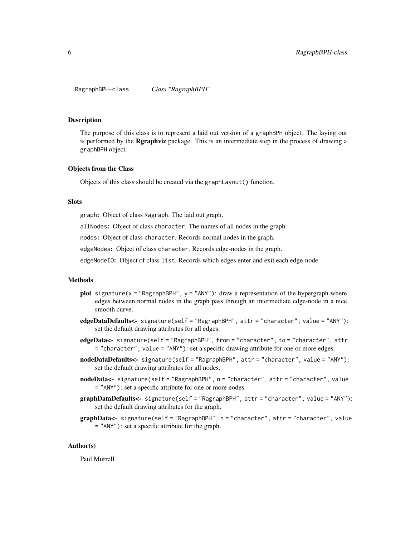<span id="page-5-1"></span><span id="page-5-0"></span>RagraphBPH-class *Class "RagraphBPH"*

#### Description

The purpose of this class is to represent a laid out version of a graphBPH object. The laying out is performed by the Rgraphviz package. This is an intermediate step in the process of drawing a graphBPH object.

#### Objects from the Class

Objects of this class should be created via the graphLayout() function.

#### Slots

graph: Object of class Ragraph. The laid out graph.

allNodes: Object of class character. The names of all nodes in the graph.

nodes: Object of class character. Records normal nodes in the graph.

edgeNodes: Object of class character. Records edge-nodes in the graph.

edgeNodeIO: Object of class list. Records which edges enter and exit each edge-node.

# Methods

- plot signature( $x =$  "RagraphBPH",  $y =$  "ANY"): draw a representation of the hypergraph where edges between normal nodes in the graph pass through an intermediate edge-node in a nice smooth curve.
- edgeDataDefaults<- signature(self = "RagraphBPH", attr = "character", value = "ANY"): set the default drawing attributes for all edges.
- edgeData<- signature(self = "RagraphBPH", from = "character", to = "character", attr = "character", value = "ANY"): set a specific drawing attribute for one or more edges.
- nodeDataDefaults<- signature(self = "RagraphBPH", attr = "character", value = "ANY"): set the default drawing attributes for all nodes.
- nodeData<- signature(self = "RagraphBPH", n = "character", attr = "character", value = "ANY"): set a specific attribute for one or more nodes.
- graphDataDefaults<- signature(self = "RagraphBPH", attr = "character", value = "ANY"): set the default drawing attributes for the graph.
- graphData<- signature(self = "RagraphBPH", n = "character", attr = "character", value = "ANY"): set a specific attribute for the graph.

#### Author(s)

Paul Murrell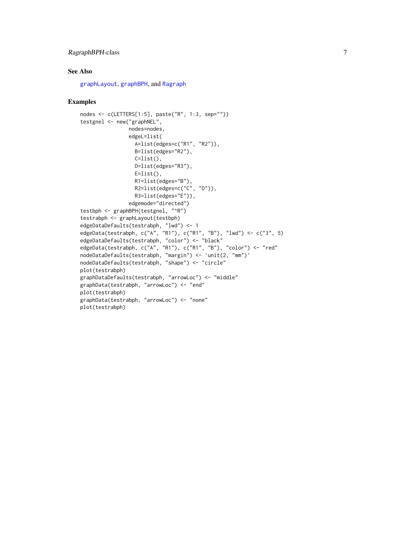# <span id="page-6-0"></span>RagraphBPH-class 7

# See Also

[graphLayout](#page-3-1), [graphBPH](#page-2-1), and [Ragraph](#page-0-0)

# Examples

```
nodes <- c(LETTERS[1:5], paste("R", 1:3, sep=""))
testgnel <- new("graphNEL",
                nodes=nodes,
                edgeL=list(
                 A=list(edges=c("R1", "R2")),
                  B=list(edges="R2"),
                 C=list(),
                  D=list(edges="R3"),
                  E=list(),
                  R1=list(edges="B"),
                  R2=list(edges=c("C", "D")),
                  R3=list(edges="E")),
                edgemode="directed")
testbph <- graphBPH(testgnel, "^R")
testrabph <- graphLayout(testbph)
edgeDataDefaults(testrabph, "lwd") <- 1
edgeData(testrabph, c("A", "R1"), c("R1", "B"), "lwd") <- c("3", 5)
edgeDataDefaults(testrabph, "color") <- "black"
edgeData(testrabph, c("A", "R1"), c("R1", "B"), "color") <- "red"
nodeDataDefaults(testrabph, "margin") <- 'unit(2, "mm")'
nodeDataDefaults(testrabph, "shape") <- "circle"
plot(testrabph)
graphDataDefaults(testrabph, "arrowLoc") <- "middle"
graphData(testrabph, "arrowLoc") <- "end"
plot(testrabph)
graphData(testrabph, "arrowLoc") <- "none"
plot(testrabph)
```